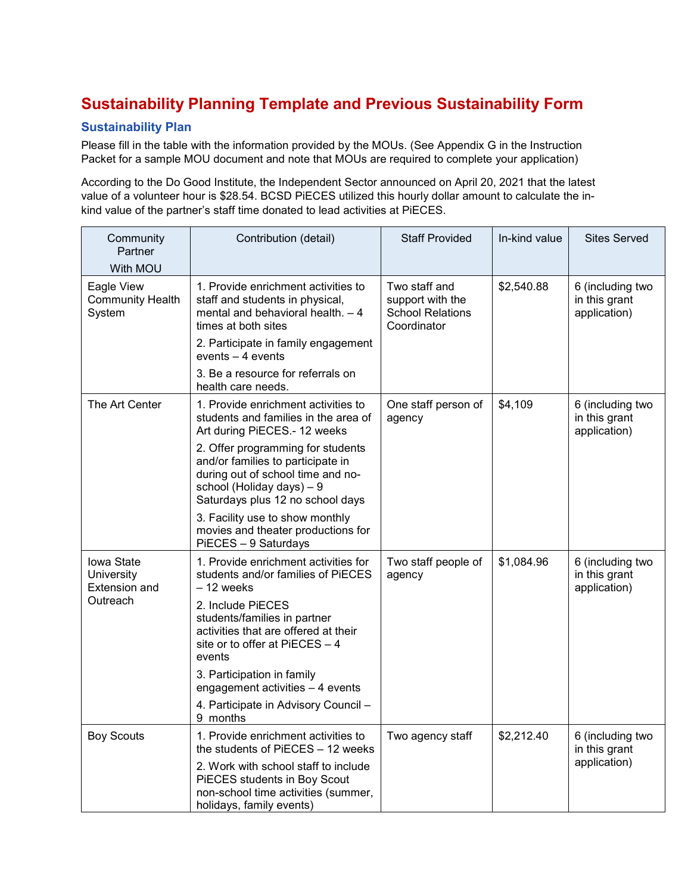## **Sustainability Planning Template and Previous Sustainability Form**

## **Sustainability Plan**

Please fill in the table with the information provided by the MOUs. (See Appendix G in the Instruction Packet for a sample MOU document and note that MOUs are required to complete your application)

According to the Do Good Institute, the Independent Sector announced on April 20, 2021 that the latest value of a volunteer hour is \$28.54. BCSD PiECES utilized this hourly dollar amount to calculate the inkind value of the partner's staff time donated to lead activities at PiECES.

| Community<br>Partner<br>With MOU                             | Contribution (detail)                                                                                                                                                        | <b>Staff Provided</b>                                                       | In-kind value | <b>Sites Served</b>                               |
|--------------------------------------------------------------|------------------------------------------------------------------------------------------------------------------------------------------------------------------------------|-----------------------------------------------------------------------------|---------------|---------------------------------------------------|
| Eagle View<br><b>Community Health</b><br>System              | 1. Provide enrichment activities to<br>staff and students in physical,<br>mental and behavioral health. - 4<br>times at both sites                                           | Two staff and<br>support with the<br><b>School Relations</b><br>Coordinator | \$2,540.88    | 6 (including two<br>in this grant<br>application) |
|                                                              | 2. Participate in family engagement<br>events - 4 events                                                                                                                     |                                                                             |               |                                                   |
|                                                              | 3. Be a resource for referrals on<br>health care needs.                                                                                                                      |                                                                             |               |                                                   |
| The Art Center                                               | 1. Provide enrichment activities to<br>students and families in the area of<br>Art during PiECES.- 12 weeks                                                                  | One staff person of<br>agency                                               | \$4,109       | 6 (including two<br>in this grant<br>application) |
|                                                              | 2. Offer programming for students<br>and/or families to participate in<br>during out of school time and no-<br>school (Holiday days) - 9<br>Saturdays plus 12 no school days |                                                                             |               |                                                   |
|                                                              | 3. Facility use to show monthly<br>movies and theater productions for<br>PiECES - 9 Saturdays                                                                                |                                                                             |               |                                                   |
| Iowa State<br>University<br><b>Extension and</b><br>Outreach | 1. Provide enrichment activities for<br>students and/or families of PiECES<br>– 12 weeks                                                                                     | Two staff people of<br>agency                                               | \$1,084.96    | 6 (including two<br>in this grant<br>application) |
|                                                              | 2. Include PiECES<br>students/families in partner<br>activities that are offered at their<br>site or to offer at PiECES - 4<br>events                                        |                                                                             |               |                                                   |
|                                                              | 3. Participation in family<br>engagement activities - 4 events                                                                                                               |                                                                             |               |                                                   |
|                                                              | 4. Participate in Advisory Council -<br>9 months                                                                                                                             |                                                                             |               |                                                   |
| <b>Boy Scouts</b>                                            | 1. Provide enrichment activities to<br>the students of PiECES - 12 weeks                                                                                                     | Two agency staff                                                            | \$2,212.40    | 6 (including two<br>in this grant                 |
|                                                              | 2. Work with school staff to include<br>PiECES students in Boy Scout<br>non-school time activities (summer,<br>holidays, family events)                                      |                                                                             |               | application)                                      |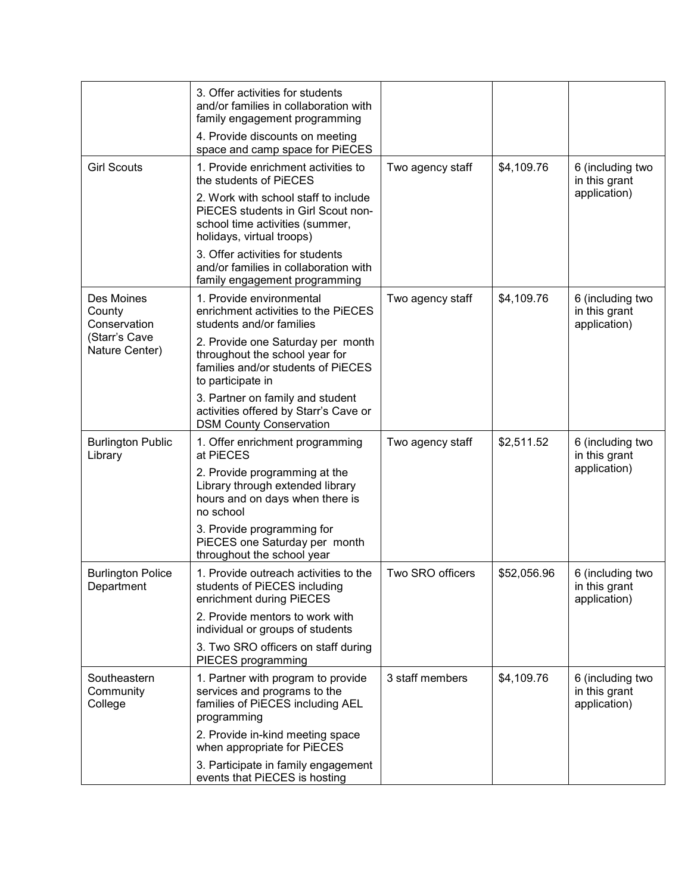|                                                                         | 3. Offer activities for students<br>and/or families in collaboration with<br>family engagement programming                                 |                  |             |                                                   |
|-------------------------------------------------------------------------|--------------------------------------------------------------------------------------------------------------------------------------------|------------------|-------------|---------------------------------------------------|
|                                                                         | 4. Provide discounts on meeting<br>space and camp space for PiECES                                                                         |                  |             |                                                   |
| <b>Girl Scouts</b>                                                      | 1. Provide enrichment activities to<br>the students of PiECES                                                                              | Two agency staff | \$4,109.76  | 6 (including two<br>in this grant                 |
|                                                                         | 2. Work with school staff to include<br>PIECES students in Girl Scout non-<br>school time activities (summer,<br>holidays, virtual troops) |                  |             | application)                                      |
|                                                                         | 3. Offer activities for students<br>and/or families in collaboration with<br>family engagement programming                                 |                  |             |                                                   |
| Des Moines<br>County<br>Conservation<br>(Starr's Cave<br>Nature Center) | 1. Provide environmental<br>enrichment activities to the PIECES<br>students and/or families                                                | Two agency staff | \$4,109.76  | 6 (including two<br>in this grant<br>application) |
|                                                                         | 2. Provide one Saturday per month<br>throughout the school year for<br>families and/or students of PiECES<br>to participate in             |                  |             |                                                   |
|                                                                         | 3. Partner on family and student<br>activities offered by Starr's Cave or<br><b>DSM County Conservation</b>                                |                  |             |                                                   |
| <b>Burlington Public</b><br>Library                                     | 1. Offer enrichment programming<br>at PiECES                                                                                               | Two agency staff | \$2,511.52  | 6 (including two<br>in this grant<br>application) |
|                                                                         | 2. Provide programming at the<br>Library through extended library<br>hours and on days when there is<br>no school                          |                  |             |                                                   |
|                                                                         | 3. Provide programming for<br>PIECES one Saturday per month<br>throughout the school year                                                  |                  |             |                                                   |
| <b>Burlington Police</b><br>Department                                  | 1. Provide outreach activities to the<br>students of PiECES including<br>enrichment during PiECES                                          | Two SRO officers | \$52,056.96 | 6 (including two<br>in this grant<br>application) |
|                                                                         | 2. Provide mentors to work with<br>individual or groups of students                                                                        |                  |             |                                                   |
|                                                                         | 3. Two SRO officers on staff during<br>PIECES programming                                                                                  |                  |             |                                                   |
| Southeastern<br>Community<br>College                                    | 1. Partner with program to provide<br>services and programs to the<br>families of PiECES including AEL<br>programming                      | 3 staff members  | \$4,109.76  | 6 (including two<br>in this grant<br>application) |
|                                                                         | 2. Provide in-kind meeting space<br>when appropriate for PiECES                                                                            |                  |             |                                                   |
|                                                                         | 3. Participate in family engagement<br>events that PiECES is hosting                                                                       |                  |             |                                                   |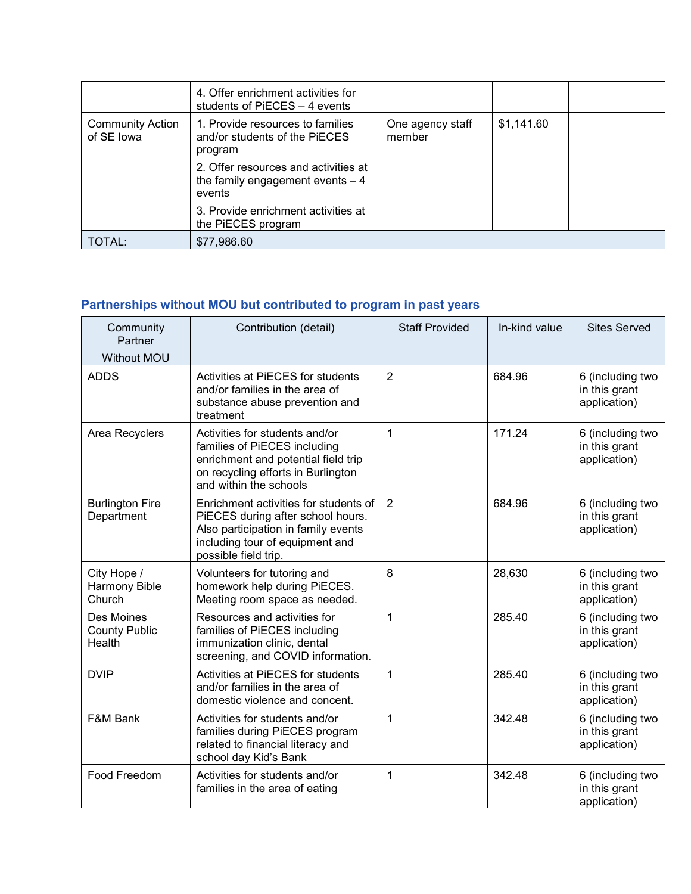|                                       | 4. Offer enrichment activities for<br>students of PiECES – 4 events                 |                            |            |  |
|---------------------------------------|-------------------------------------------------------------------------------------|----------------------------|------------|--|
| <b>Community Action</b><br>of SE Iowa | 1. Provide resources to families<br>and/or students of the PIECES<br>program        | One agency staff<br>member | \$1,141.60 |  |
|                                       | 2. Offer resources and activities at<br>the family engagement events $-4$<br>events |                            |            |  |
|                                       | 3. Provide enrichment activities at<br>the PIECES program                           |                            |            |  |
| TOTAL:                                | \$77,986.60                                                                         |                            |            |  |

## **Partnerships without MOU but contributed to program in past years**

| Community<br>Partner<br><b>Without MOU</b>   | Contribution (detail)                                                                                                                                                        | <b>Staff Provided</b> | In-kind value | <b>Sites Served</b>                               |
|----------------------------------------------|------------------------------------------------------------------------------------------------------------------------------------------------------------------------------|-----------------------|---------------|---------------------------------------------------|
| <b>ADDS</b>                                  | Activities at PIECES for students<br>and/or families in the area of<br>substance abuse prevention and<br>treatment                                                           | $\overline{2}$        | 684.96        | 6 (including two<br>in this grant<br>application) |
| Area Recyclers                               | Activities for students and/or<br>families of PiECES including<br>enrichment and potential field trip<br>on recycling efforts in Burlington<br>and within the schools        | $\mathbf{1}$          | 171.24        | 6 (including two<br>in this grant<br>application) |
| <b>Burlington Fire</b><br>Department         | Enrichment activities for students of<br>PIECES during after school hours.<br>Also participation in family events<br>including tour of equipment and<br>possible field trip. | $\overline{2}$        | 684.96        | 6 (including two<br>in this grant<br>application) |
| City Hope /<br>Harmony Bible<br>Church       | Volunteers for tutoring and<br>homework help during PiECES.<br>Meeting room space as needed.                                                                                 | 8                     | 28,630        | 6 (including two<br>in this grant<br>application) |
| Des Moines<br><b>County Public</b><br>Health | Resources and activities for<br>families of PiECES including<br>immunization clinic, dental<br>screening, and COVID information.                                             | $\mathbf{1}$          | 285.40        | 6 (including two<br>in this grant<br>application) |
| <b>DVIP</b>                                  | Activities at PiECES for students<br>and/or families in the area of<br>domestic violence and concent.                                                                        | $\mathbf{1}$          | 285.40        | 6 (including two<br>in this grant<br>application) |
| F&M Bank                                     | Activities for students and/or<br>families during PiECES program<br>related to financial literacy and<br>school day Kid's Bank                                               | $\mathbf{1}$          | 342.48        | 6 (including two<br>in this grant<br>application) |
| Food Freedom                                 | Activities for students and/or<br>families in the area of eating                                                                                                             | $\mathbf 1$           | 342.48        | 6 (including two<br>in this grant<br>application) |